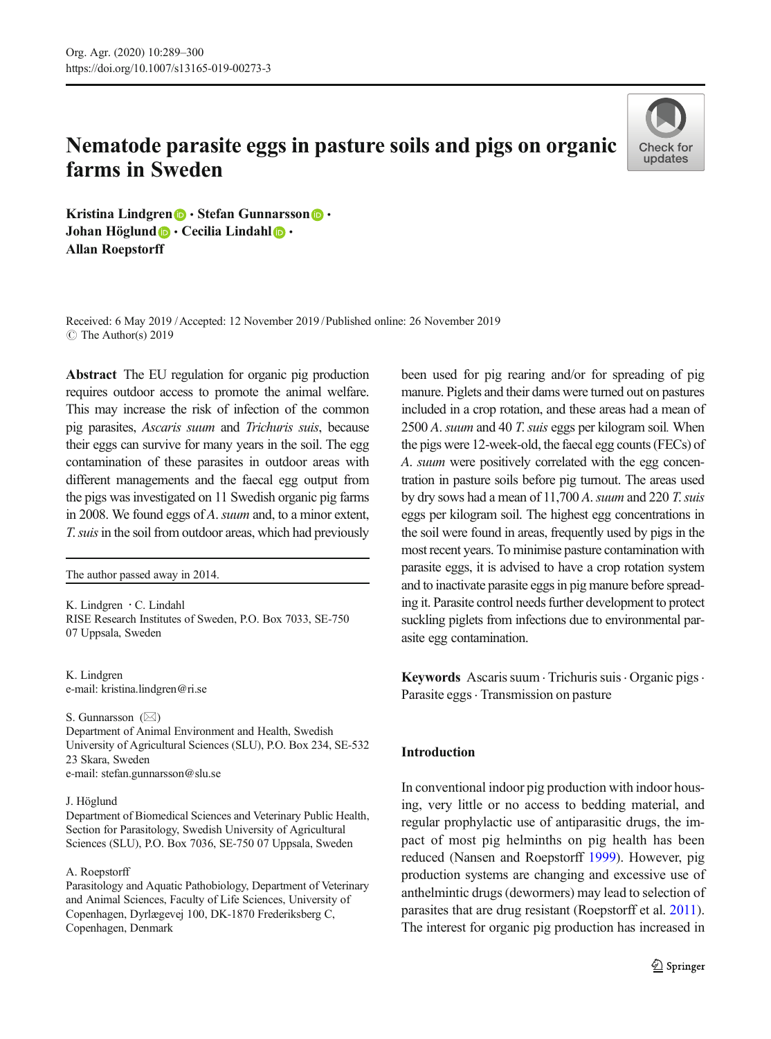# Nematode parasite eggs in pasture soils and pigs on organic farms in Sweden



Kristina Lindgren  $\bigcirc$  · Stefan Gunnarsson  $\bigcirc$  · Johan Höglund  $\bigcirc \cdot$  Cecilia Lindahl  $\bigcirc \cdot$ Allan Roepstorff

Received: 6 May 2019 /Accepted: 12 November 2019 /Published online: 26 November 2019 $\circ$  The Author(s) 2019

Abstract The EU regulation for organic pig production requires outdoor access to promote the animal welfare. This may increase the risk of infection of the common pig parasites, Ascaris suum and Trichuris suis, because their eggs can survive for many years in the soil. The egg contamination of these parasites in outdoor areas with different managements and the faecal egg output from the pigs was investigated on 11 Swedish organic pig farms in 2008. We found eggs of A. suum and, to a minor extent, T. suis in the soil from outdoor areas, which had previously

The author passed away in 2014.

K. Lindgren  $\cdot$  C. Lindahl RISE Research Institutes of Sweden, P.O. Box 7033, SE-750 07 Uppsala, Sweden

K. Lindgren e-mail: kristina.lindgren@ri.se

S. Gunnarsson  $(\boxtimes)$ Department of Animal Environment and Health, Swedish University of Agricultural Sciences (SLU), P.O. Box 234, SE-532 23 Skara, Sweden e-mail: stefan.gunnarsson@slu.se

#### J. Höglund

Department of Biomedical Sciences and Veterinary Public Health, Section for Parasitology, Swedish University of Agricultural Sciences (SLU), P.O. Box 7036, SE-750 07 Uppsala, Sweden

#### A. Roepstorff

Parasitology and Aquatic Pathobiology, Department of Veterinary and Animal Sciences, Faculty of Life Sciences, University of Copenhagen, Dyrlægevej 100, DK-1870 Frederiksberg C, Copenhagen, Denmark

been used for pig rearing and/or for spreading of pig manure. Piglets and their dams were turned out on pastures included in a crop rotation, and these areas had a mean of 2500 A. suum and 40 T. suis eggs per kilogram soil. When the pigs were 12-week-old, the faecal egg counts (FECs) of A. suum were positively correlated with the egg concentration in pasture soils before pig turnout. The areas used by dry sows had a mean of  $11,700$  A. suum and 220 T. suis eggs per kilogram soil. The highest egg concentrations in the soil were found in areas, frequently used by pigs in the most recent years. To minimise pasture contamination with parasite eggs, it is advised to have a crop rotation system and to inactivate parasite eggs in pig manure before spreading it. Parasite control needs further development to protect suckling piglets from infections due to environmental parasite egg contamination.

Keywords Ascaris suum · Trichuris suis · Organic pigs · Parasite eggs · Transmission on pasture

# Introduction

In conventional indoor pig production with indoor housing, very little or no access to bedding material, and regular prophylactic use of antiparasitic drugs, the impact of most pig helminths on pig health has been reduced (Nansen and Roepstorff [1999](#page-10-0)). However, pig production systems are changing and excessive use of anthelmintic drugs (dewormers) may lead to selection of parasites that are drug resistant (Roepstorff et al. [2011\)](#page-11-0). The interest for organic pig production has increased in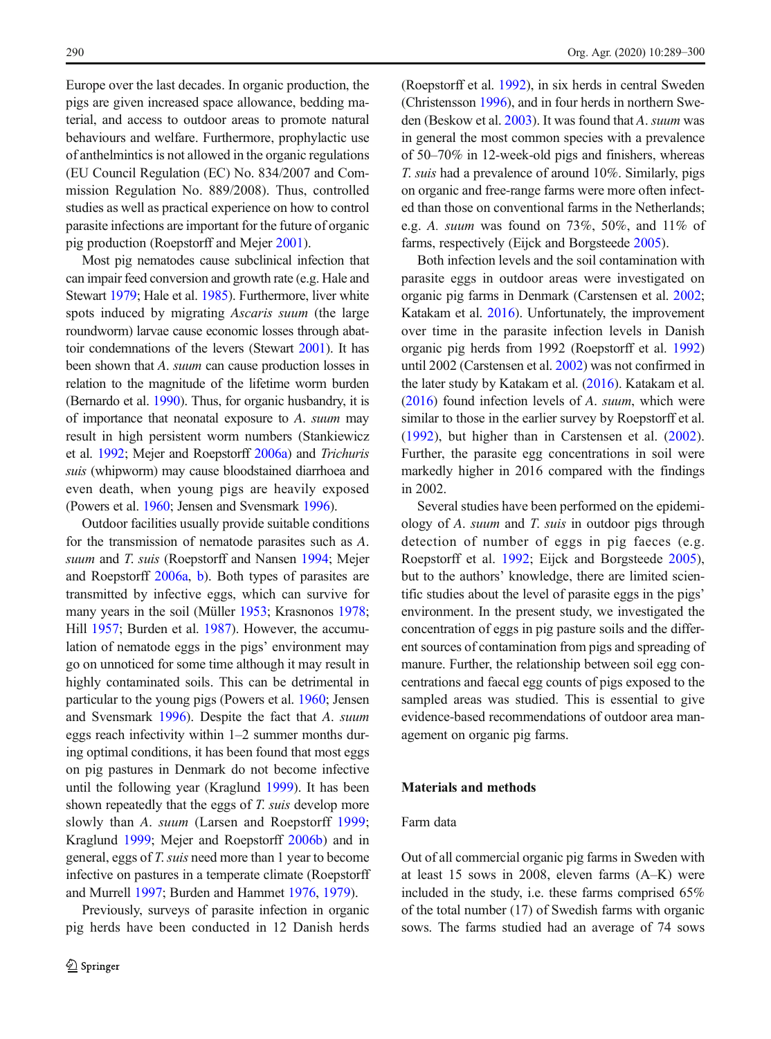Europe over the last decades. In organic production, the pigs are given increased space allowance, bedding material, and access to outdoor areas to promote natural behaviours and welfare. Furthermore, prophylactic use of anthelmintics is not allowed in the organic regulations (EU Council Regulation (EC) No. 834/2007 and Commission Regulation No. 889/2008). Thus, controlled studies as well as practical experience on how to control parasite infections are important for the future of organic pig production (Roepstorff and Mejer [2001](#page-10-0)).

Most pig nematodes cause subclinical infection that can impair feed conversion and growth rate (e.g. Hale and Stewart [1979](#page-10-0); Hale et al. [1985\)](#page-10-0). Furthermore, liver white spots induced by migrating Ascaris suum (the large roundworm) larvae cause economic losses through abattoir condemnations of the levers (Stewart [2001](#page-11-0)). It has been shown that A. suum can cause production losses in relation to the magnitude of the lifetime worm burden (Bernardo et al. [1990\)](#page-10-0). Thus, for organic husbandry, it is of importance that neonatal exposure to A. suum may result in high persistent worm numbers (Stankiewicz et al. [1992](#page-11-0); Mejer and Roepstorff [2006a\)](#page-10-0) and Trichuris suis (whipworm) may cause bloodstained diarrhoea and even death, when young pigs are heavily exposed (Powers et al. [1960;](#page-10-0) Jensen and Svensmark [1996](#page-10-0)).

Outdoor facilities usually provide suitable conditions for the transmission of nematode parasites such as A. suum and T. suis (Roepstorff and Nansen [1994](#page-11-0); Mejer and Roepstorff [2006a,](#page-10-0) [b\)](#page-10-0). Both types of parasites are transmitted by infective eggs, which can survive for many years in the soil (Müller [1953;](#page-10-0) Krasnonos [1978](#page-10-0); Hill [1957](#page-10-0); Burden et al. [1987](#page-10-0)). However, the accumulation of nematode eggs in the pigs' environment may go on unnoticed for some time although it may result in highly contaminated soils. This can be detrimental in particular to the young pigs (Powers et al. [1960](#page-10-0); Jensen and Svensmark [1996](#page-10-0)). Despite the fact that A. suum eggs reach infectivity within 1–2 summer months during optimal conditions, it has been found that most eggs on pig pastures in Denmark do not become infective until the following year (Kraglund [1999](#page-10-0)). It has been shown repeatedly that the eggs of T. suis develop more slowly than A. suum (Larsen and Roepstorff [1999](#page-10-0); Kraglund [1999](#page-10-0); Mejer and Roepstorff [2006b](#page-10-0)) and in general, eggs of T. suis need more than 1 year to become infective on pastures in a temperate climate (Roepstorff and Murrell [1997](#page-10-0); Burden and Hammet [1976](#page-10-0), [1979\)](#page-10-0).

Previously, surveys of parasite infection in organic pig herds have been conducted in 12 Danish herds (Roepstorff et al. [1992](#page-11-0)), in six herds in central Sweden (Christensson [1996\)](#page-10-0), and in four herds in northern Sweden (Beskow et al. [2003\)](#page-10-0). It was found that A. suum was in general the most common species with a prevalence of 50–70% in 12-week-old pigs and finishers, whereas T. suis had a prevalence of around 10%. Similarly, pigs on organic and free-range farms were more often infected than those on conventional farms in the Netherlands; e.g. A. suum was found on 73%, 50%, and 11% of farms, respectively (Eijck and Borgsteede [2005](#page-10-0)).

Both infection levels and the soil contamination with parasite eggs in outdoor areas were investigated on organic pig farms in Denmark (Carstensen et al. [2002;](#page-10-0) Katakam et al. [2016](#page-10-0)). Unfortunately, the improvement over time in the parasite infection levels in Danish organic pig herds from 1992 (Roepstorff et al. [1992](#page-11-0)) until 2002 (Carstensen et al. [2002\)](#page-10-0) was not confirmed in the later study by Katakam et al. [\(2016\)](#page-10-0). Katakam et al. [\(2016\)](#page-10-0) found infection levels of A. suum, which were similar to those in the earlier survey by Roepstorff et al. [\(1992](#page-11-0)), but higher than in Carstensen et al. ([2002\)](#page-10-0). Further, the parasite egg concentrations in soil were markedly higher in 2016 compared with the findings in 2002.

Several studies have been performed on the epidemiology of A. suum and T. suis in outdoor pigs through detection of number of eggs in pig faeces (e.g. Roepstorff et al. [1992;](#page-11-0) Eijck and Borgsteede [2005\)](#page-10-0), but to the authors' knowledge, there are limited scientific studies about the level of parasite eggs in the pigs' environment. In the present study, we investigated the concentration of eggs in pig pasture soils and the different sources of contamination from pigs and spreading of manure. Further, the relationship between soil egg concentrations and faecal egg counts of pigs exposed to the sampled areas was studied. This is essential to give evidence-based recommendations of outdoor area management on organic pig farms.

# Materials and methods

# Farm data

Out of all commercial organic pig farms in Sweden with at least 15 sows in 2008, eleven farms (A–K) were included in the study, i.e. these farms comprised 65% of the total number (17) of Swedish farms with organic sows. The farms studied had an average of 74 sows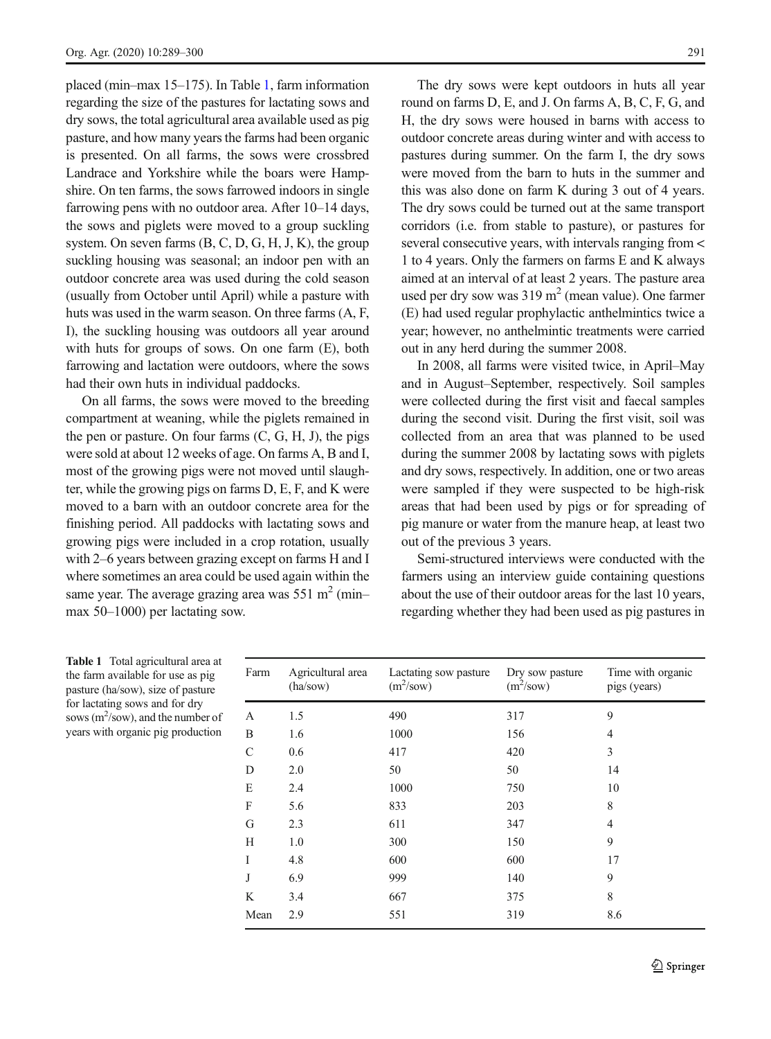<span id="page-2-0"></span>placed (min–max 15–175). In Table 1, farm information regarding the size of the pastures for lactating sows and dry sows, the total agricultural area available used as pig pasture, and how many years the farms had been organic is presented. On all farms, the sows were crossbred Landrace and Yorkshire while the boars were Hampshire. On ten farms, the sows farrowed indoors in single farrowing pens with no outdoor area. After 10–14 days, the sows and piglets were moved to a group suckling system. On seven farms (B, C, D, G, H, J, K), the group suckling housing was seasonal; an indoor pen with an outdoor concrete area was used during the cold season (usually from October until April) while a pasture with huts was used in the warm season. On three farms (A, F, I), the suckling housing was outdoors all year around with huts for groups of sows. On one farm (E), both farrowing and lactation were outdoors, where the sows had their own huts in individual paddocks.

On all farms, the sows were moved to the breeding compartment at weaning, while the piglets remained in the pen or pasture. On four farms  $(C, G, H, J)$ , the pigs were sold at about 12 weeks of age. On farms A, B and I, most of the growing pigs were not moved until slaughter, while the growing pigs on farms D, E, F, and K were moved to a barn with an outdoor concrete area for the finishing period. All paddocks with lactating sows and growing pigs were included in a crop rotation, usually with 2–6 years between grazing except on farms H and I where sometimes an area could be used again within the same year. The average grazing area was  $551 \text{ m}^2$  (min– max 50–1000) per lactating sow.

The dry sows were kept outdoors in huts all year round on farms D, E, and J. On farms A, B, C, F, G, and H, the dry sows were housed in barns with access to outdoor concrete areas during winter and with access to pastures during summer. On the farm I, the dry sows were moved from the barn to huts in the summer and this was also done on farm K during 3 out of 4 years. The dry sows could be turned out at the same transport corridors (i.e. from stable to pasture), or pastures for several consecutive years, with intervals ranging from < 1 to 4 years. Only the farmers on farms E and K always aimed at an interval of at least 2 years. The pasture area used per dry sow was  $319 \text{ m}^2$  (mean value). One farmer (E) had used regular prophylactic anthelmintics twice a year; however, no anthelmintic treatments were carried out in any herd during the summer 2008.

In 2008, all farms were visited twice, in April–May and in August–September, respectively. Soil samples were collected during the first visit and faecal samples during the second visit. During the first visit, soil was collected from an area that was planned to be used during the summer 2008 by lactating sows with piglets and dry sows, respectively. In addition, one or two areas were sampled if they were suspected to be high-risk areas that had been used by pigs or for spreading of pig manure or water from the manure heap, at least two out of the previous 3 years.

Semi-structured interviews were conducted with the farmers using an interview guide containing questions about the use of their outdoor areas for the last 10 years, regarding whether they had been used as pig pastures in

Table 1 Total agricultural area at the farm available for use as pig pasture (ha/sow), size of pasture for lactating sows and for dry sows  $(m^2$ /sow), and the number of years with organic pig production

| Farm         | Agricultural area<br>(ha/sow) | Lactating sow pasture<br>$(m^2$ /sow) | Dry sow pasture<br>$(m^2$ /sow) | Time with organic<br>pigs (years) |
|--------------|-------------------------------|---------------------------------------|---------------------------------|-----------------------------------|
| A            | 1.5                           | 490                                   | 317                             | 9                                 |
| B            | 1.6                           | 1000                                  | 156                             | 4                                 |
| $\mathsf{C}$ | 0.6                           | 417                                   | 420                             | 3                                 |
| D            | 2.0                           | 50                                    | 50                              | 14                                |
| Ε            | 2.4                           | 1000                                  | 750                             | 10                                |
| F            | 5.6                           | 833                                   | 203                             | 8                                 |
| G            | 2.3                           | 611                                   | 347                             | 4                                 |
| Н            | 1.0                           | 300                                   | 150                             | 9                                 |
| T            | 4.8                           | 600                                   | 600                             | 17                                |
| J            | 6.9                           | 999                                   | 140                             | 9                                 |
| K            | 3.4                           | 667                                   | 375                             | 8                                 |
| Mean         | 2.9                           | 551                                   | 319                             | 8.6                               |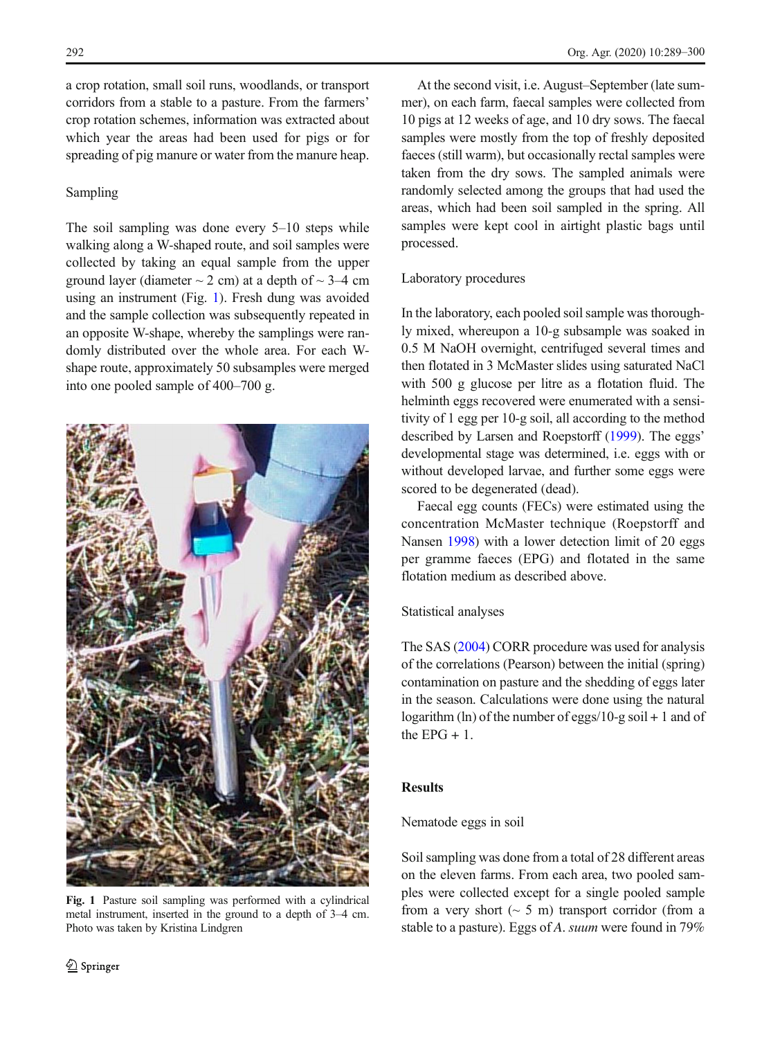a crop rotation, small soil runs, woodlands, or transport corridors from a stable to a pasture. From the farmers' crop rotation schemes, information was extracted about which year the areas had been used for pigs or for spreading of pig manure or water from the manure heap.

# Sampling

The soil sampling was done every 5–10 steps while walking along a W-shaped route, and soil samples were collected by taking an equal sample from the upper ground layer (diameter  $\sim$  2 cm) at a depth of  $\sim$  3–4 cm using an instrument (Fig. 1). Fresh dung was avoided and the sample collection was subsequently repeated in an opposite W-shape, whereby the samplings were randomly distributed over the whole area. For each Wshape route, approximately 50 subsamples were merged into one pooled sample of 400–700 g.



Fig. 1 Pasture soil sampling was performed with a cylindrical metal instrument, inserted in the ground to a depth of 3–4 cm. Photo was taken by Kristina Lindgren

At the second visit, i.e. August–September (late summer), on each farm, faecal samples were collected from 10 pigs at 12 weeks of age, and 10 dry sows. The faecal samples were mostly from the top of freshly deposited faeces (still warm), but occasionally rectal samples were taken from the dry sows. The sampled animals were randomly selected among the groups that had used the areas, which had been soil sampled in the spring. All samples were kept cool in airtight plastic bags until processed.

# Laboratory procedures

In the laboratory, each pooled soil sample was thoroughly mixed, whereupon a 10-g subsample was soaked in 0.5 M NaOH overnight, centrifuged several times and then flotated in 3 McMaster slides using saturated NaCl with 500 g glucose per litre as a flotation fluid. The helminth eggs recovered were enumerated with a sensitivity of 1 egg per 10-g soil, all according to the method described by Larsen and Roepstorff ([1999](#page-10-0)). The eggs' developmental stage was determined, i.e. eggs with or without developed larvae, and further some eggs were scored to be degenerated (dead).

Faecal egg counts (FECs) were estimated using the concentration McMaster technique (Roepstorff and Nansen [1998](#page-11-0)) with a lower detection limit of 20 eggs per gramme faeces (EPG) and flotated in the same flotation medium as described above.

# Statistical analyses

The SAS [\(2004\)](#page-11-0) CORR procedure was used for analysis of the correlations (Pearson) between the initial (spring) contamination on pasture and the shedding of eggs later in the season. Calculations were done using the natural logarithm (ln) of the number of eggs/10-g soil  $+1$  and of the EPG  $+1$ .

# Results

# Nematode eggs in soil

Soil sampling was done from a total of 28 different areas on the eleven farms. From each area, two pooled samples were collected except for a single pooled sample from a very short  $(~5~\text{m})$  transport corridor (from a stable to a pasture). Eggs of A. suum were found in 79%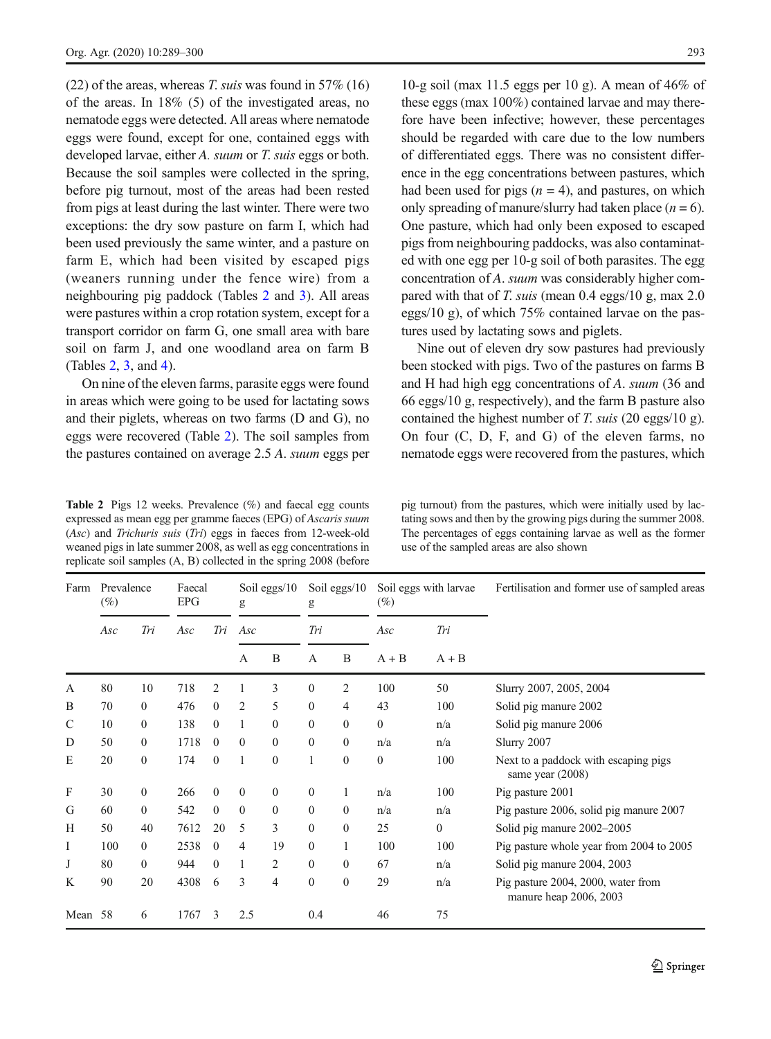<span id="page-4-0"></span> $(22)$  of the areas, whereas T. suis was found in 57% (16) of the areas. In 18% (5) of the investigated areas, no nematode eggs were detected. All areas where nematode eggs were found, except for one, contained eggs with developed larvae, either A. suum or T. suis eggs or both. Because the soil samples were collected in the spring, before pig turnout, most of the areas had been rested from pigs at least during the last winter. There were two exceptions: the dry sow pasture on farm I, which had been used previously the same winter, and a pasture on farm E, which had been visited by escaped pigs (weaners running under the fence wire) from a neighbouring pig paddock (Tables 2 and [3](#page-5-0)). All areas were pastures within a crop rotation system, except for a transport corridor on farm G, one small area with bare soil on farm J, and one woodland area on farm B (Tables 2, [3,](#page-5-0) and [4](#page-5-0)).

On nine of the eleven farms, parasite eggs were found in areas which were going to be used for lactating sows and their piglets, whereas on two farms (D and G), no eggs were recovered (Table 2). The soil samples from the pastures contained on average 2.5 A. suum eggs per

Table 2 Pigs 12 weeks. Prevalence (%) and faecal egg counts expressed as mean egg per gramme faeces (EPG) of Ascaris suum (Asc) and Trichuris suis (Tri) eggs in faeces from 12-week-old weaned pigs in late summer 2008, as well as egg concentrations in replicate soil samples (A, B) collected in the spring 2008 (before

10-g soil (max 11.5 eggs per 10 g). A mean of 46% of these eggs (max 100%) contained larvae and may therefore have been infective; however, these percentages should be regarded with care due to the low numbers of differentiated eggs. There was no consistent difference in the egg concentrations between pastures, which had been used for pigs  $(n = 4)$ , and pastures, on which only spreading of manure/slurry had taken place  $(n = 6)$ . One pasture, which had only been exposed to escaped pigs from neighbouring paddocks, was also contaminated with one egg per 10-g soil of both parasites. The egg concentration of A. suum was considerably higher compared with that of T. suis (mean 0.4 eggs/10 g, max 2.0 eggs/10 g), of which 75% contained larvae on the pastures used by lactating sows and piglets.

Nine out of eleven dry sow pastures had previously been stocked with pigs. Two of the pastures on farms B and H had high egg concentrations of A. suum (36 and 66 eggs/10 g, respectively), and the farm B pasture also contained the highest number of T. suis (20 eggs/10 g). On four (C, D, F, and G) of the eleven farms, no nematode eggs were recovered from the pastures, which

pig turnout) from the pastures, which were initially used by lactating sows and then by the growing pigs during the summer 2008. The percentages of eggs containing larvae as well as the former use of the sampled areas are also shown

| Farm    | Prevalence<br>$(\%)$ |              | Faecal<br>EPG |                | Soil eggs/ $10$<br>g |                  | Soil eggs/ $10$<br>g |                | $(\%)$       | Soil eggs with larvae | Fertilisation and former use of sampled areas                |
|---------|----------------------|--------------|---------------|----------------|----------------------|------------------|----------------------|----------------|--------------|-----------------------|--------------------------------------------------------------|
|         | Asc                  | Tri          | Asc           | Tri            | Asc                  |                  | Tri                  |                | Asc          | Tri                   |                                                              |
|         |                      |              |               |                | A                    | B                | $\mathbf{A}$         | B              | $A + B$      | $A + B$               |                                                              |
| A       | 80                   | 10           | 718           | $\overline{c}$ |                      | 3                | $\mathbf{0}$         | 2              | 100          | 50                    | Slurry 2007, 2005, 2004                                      |
| B       | 70                   | $\Omega$     | 476           | $\Omega$       | 2                    | 5                | $\mathbf{0}$         | $\overline{4}$ | 43           | 100                   | Solid pig manure 2002                                        |
| C       | 10                   | $\Omega$     | 138           | $\Omega$       | 1                    | $\mathbf{0}$     | $\mathbf{0}$         | $\mathbf{0}$   | $\mathbf{0}$ | n/a                   | Solid pig manure 2006                                        |
| D       | 50                   | $\Omega$     | 1718          | $\theta$       | $\mathbf{0}$         | $\mathbf{0}$     | $\theta$             | $\theta$       | n/a          | n/a                   | Slurry 2007                                                  |
| E       | 20                   | $\Omega$     | 174           | $\theta$       | 1                    | $\theta$         | 1                    | $\theta$       | $\theta$     | 100                   | Next to a paddock with escaping pigs<br>same year $(2008)$   |
| F       | 30                   | $\mathbf{0}$ | 266           | $\mathbf{0}$   | $\mathbf{0}$         | $\mathbf{0}$     | $\mathbf{0}$         | 1              | n/a          | 100                   | Pig pasture 2001                                             |
| G       | 60                   | $\Omega$     | 542           | $\mathbf{0}$   | $\boldsymbol{0}$     | $\boldsymbol{0}$ | $\boldsymbol{0}$     | $\mathbf{0}$   | n/a          | n/a                   | Pig pasture 2006, solid pig manure 2007                      |
| Н       | 50                   | 40           | 7612          | 20             | 5                    | 3                | $\mathbf{0}$         | $\mathbf{0}$   | 25           | $\mathbf{0}$          | Solid pig manure 2002–2005                                   |
| I       | 100                  | $\Omega$     | 2538          | $\theta$       | 4                    | 19               | $\theta$             | 1              | 100          | 100                   | Pig pasture whole year from 2004 to 2005                     |
| J       | 80                   | $\Omega$     | 944           | $\Omega$       | 1                    | 2                | $\theta$             | $\theta$       | 67           | n/a                   | Solid pig manure 2004, 2003                                  |
| K       | 90                   | 20           | 4308          | 6              | 3                    | 4                | $\mathbf{0}$         | $\theta$       | 29           | n/a                   | Pig pasture 2004, 2000, water from<br>manure heap 2006, 2003 |
| Mean 58 |                      | 6            | 1767          | 3              | 2.5                  |                  | 0.4                  |                | 46           | 75                    |                                                              |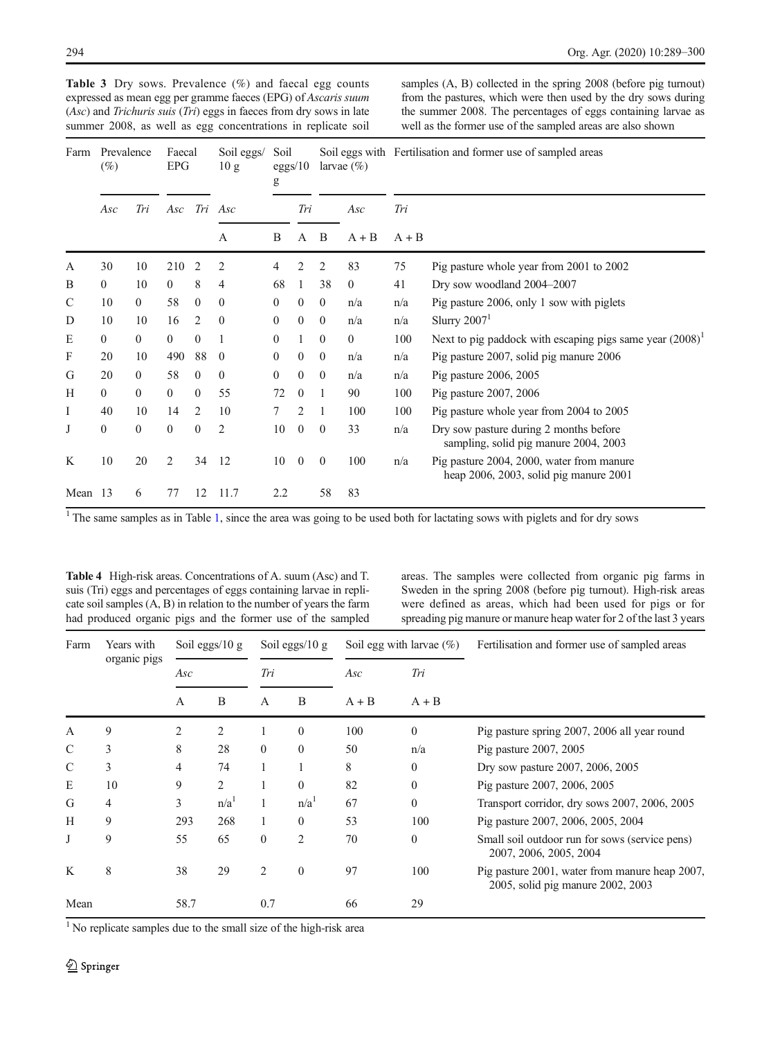| Farm    | Prevalence<br>$(\%)$ |                  | Faecal<br>EPG |                | Soil eggs/<br>10 g | Soil<br>eggs/10<br>g |                | larvae $(\%)$  |              | Soil eggs with Fertilisation and former use of sampled areas |                                                                                             |  |
|---------|----------------------|------------------|---------------|----------------|--------------------|----------------------|----------------|----------------|--------------|--------------------------------------------------------------|---------------------------------------------------------------------------------------------|--|
|         | Asc                  | Tri              | Asc           |                | Tri Asc            |                      | Tri            |                | Asc          | Tri                                                          |                                                                                             |  |
|         |                      |                  |               |                | А                  | B                    | A              | B<br>$A + B$   |              | $A + B$                                                      |                                                                                             |  |
| A       | 30                   | 10               | 210           | 2              | 2                  | 4                    | 2              | 2              | 83           | 75                                                           | Pig pasture whole year from 2001 to 2002                                                    |  |
| B       | $\overline{0}$       | 10               | $\mathbf{0}$  | 8              | 4                  | 68                   | -1             | 38             | $\mathbf{0}$ | 41                                                           | Dry sow woodland 2004-2007                                                                  |  |
| C       | 10                   | $\overline{0}$   | 58            | $\mathbf{0}$   | $\overline{0}$     | $\mathbf{0}$         | $\mathbf{0}$   | $\overline{0}$ | n/a          | n/a                                                          | Pig pasture 2006, only 1 sow with piglets                                                   |  |
| D       | 10                   | 10               | 16            | 2              | $\theta$           | $\Omega$             | $\theta$       | $\mathbf{0}$   | n/a          | n/a                                                          | Slurry $20071$                                                                              |  |
| Ε       | $\mathbf{0}$         | $\mathbf{0}$     | $\mathbf{0}$  | $\mathbf{0}$   |                    | $\Omega$             |                | $\mathbf{0}$   | $\mathbf{0}$ | 100                                                          | Next to pig paddock with escaping pigs same year $(2008)^{1}$                               |  |
| F       | 20                   | 10               | 490           | 88             | $\theta$           | $\mathbf{0}$         | $\mathbf{0}$   | $\mathbf{0}$   | n/a          | n/a                                                          | Pig pasture 2007, solid pig manure 2006                                                     |  |
| G       | 20                   | $\overline{0}$   | 58            | $\mathbf{0}$   | $\mathbf{0}$       | $\mathbf{0}$         | $\overline{0}$ | $\overline{0}$ | n/a          | n/a                                                          | Pig pasture 2006, 2005                                                                      |  |
| Н       | $\overline{0}$       | $\mathbf{0}$     | $\mathbf{0}$  | $\mathbf{0}$   | 55                 | 72                   | $\mathbf{0}$   | -1             | 90           | 100                                                          | Pig pasture 2007, 2006                                                                      |  |
| Ι       | 40                   | 10               | 14            | 2              | 10                 | 7                    | 2              | 1              | 100          | 100                                                          | Pig pasture whole year from 2004 to 2005                                                    |  |
| J       | $\boldsymbol{0}$     | $\boldsymbol{0}$ | $\mathbf{0}$  | $\overline{0}$ | $\overline{2}$     | 10                   | $\mathbf{0}$   | $\overline{0}$ | 33           | n/a                                                          | Dry sow pasture during 2 months before<br>sampling, solid pig manure 2004, 2003             |  |
| K       | 10                   | 20               | 2             | 34             | 12                 | 10                   | $\overline{0}$ | $\overline{0}$ | 100          | n/a                                                          | Pig pasture 2004, 2000, water from manure<br>heap $2006$ , $2003$ , solid pig manure $2001$ |  |
| Mean 13 |                      | 6                | 77            | 12             | 11.7               | 2.2                  |                | 58             | 83           |                                                              |                                                                                             |  |

<span id="page-5-0"></span>Table 3 Dry sows. Prevalence (%) and faecal egg counts expressed as mean egg per gramme faeces (EPG) of Ascaris suum (Asc) and Trichuris suis (Tri) eggs in faeces from dry sows in late summer 2008, as well as egg concentrations in replicate soil samples (A, B) collected in the spring 2008 (before pig turnout) from the pastures, which were then used by the dry sows during the summer 2008. The percentages of eggs containing larvae as well as the former use of the sampled areas are also shown

<sup>[1](#page-2-0)</sup> The same samples as in Table 1, since the area was going to be used both for lactating sows with piglets and for dry sows

Table 4 High-risk areas. Concentrations of A. suum (Asc) and T. suis (Tri) eggs and percentages of eggs containing larvae in replicate soil samples (A, B) in relation to the number of years the farm had produced organic pigs and the former use of the sampled

areas. The samples were collected from organic pig farms in Sweden in the spring 2008 (before pig turnout). High-risk areas were defined as areas, which had been used for pigs or for spreading pig manure or manure heap water for 2 of the last 3 years

| Farm         | Years with   |              | Soil eggs/ $10 g$ | Soil eggs/ $10 \text{ g}$<br>Tri |                  |         | Soil egg with larvae $(\%)$ | Fertilisation and former use of sampled areas                                       |
|--------------|--------------|--------------|-------------------|----------------------------------|------------------|---------|-----------------------------|-------------------------------------------------------------------------------------|
|              | organic pigs | Asc          |                   |                                  |                  | Asc     | Tri                         |                                                                                     |
|              |              | $\mathsf{A}$ | B                 | $\mathsf{A}$                     | B                | $A + B$ | $A + B$                     |                                                                                     |
| $\mathbf{A}$ | 9            | 2            | 2                 |                                  | $\mathbf{0}$     | 100     | $\theta$                    | Pig pasture spring 2007, 2006 all year round                                        |
| C            | 3            | 8            | 28                | $\Omega$                         | $\Omega$         | 50      | n/a                         | Pig pasture 2007, 2005                                                              |
| C            | 3            | 4            | 74                |                                  |                  | 8       | $\mathbf{0}$                | Dry sow pasture 2007, 2006, 2005                                                    |
| Е            | 10           | 9            | 2                 |                                  | $\Omega$         | 82      | $\Omega$                    | Pig pasture 2007, 2006, 2005                                                        |
| G            | 4            | 3            | n/a <sup>1</sup>  |                                  | n/a <sup>1</sup> | 67      | $\theta$                    | Transport corridor, dry sows 2007, 2006, 2005                                       |
| Н            | 9            | 293          | 268               |                                  | $\Omega$         | 53      | 100                         | Pig pasture 2007, 2006, 2005, 2004                                                  |
| J            | 9            | 55           | 65                | $\Omega$                         | 2                | 70      | $\Omega$                    | Small soil outdoor run for sows (service pens)<br>2007, 2006, 2005, 2004            |
| K            | 8            | 38           | 29                | 2                                | $\Omega$         | 97      | 100                         | Pig pasture 2001, water from manure heap 2007,<br>2005, solid pig manure 2002, 2003 |
| Mean         |              | 58.7         |                   | 0.7                              |                  | 66      | 29                          |                                                                                     |

<sup>1</sup> No replicate samples due to the small size of the high-risk area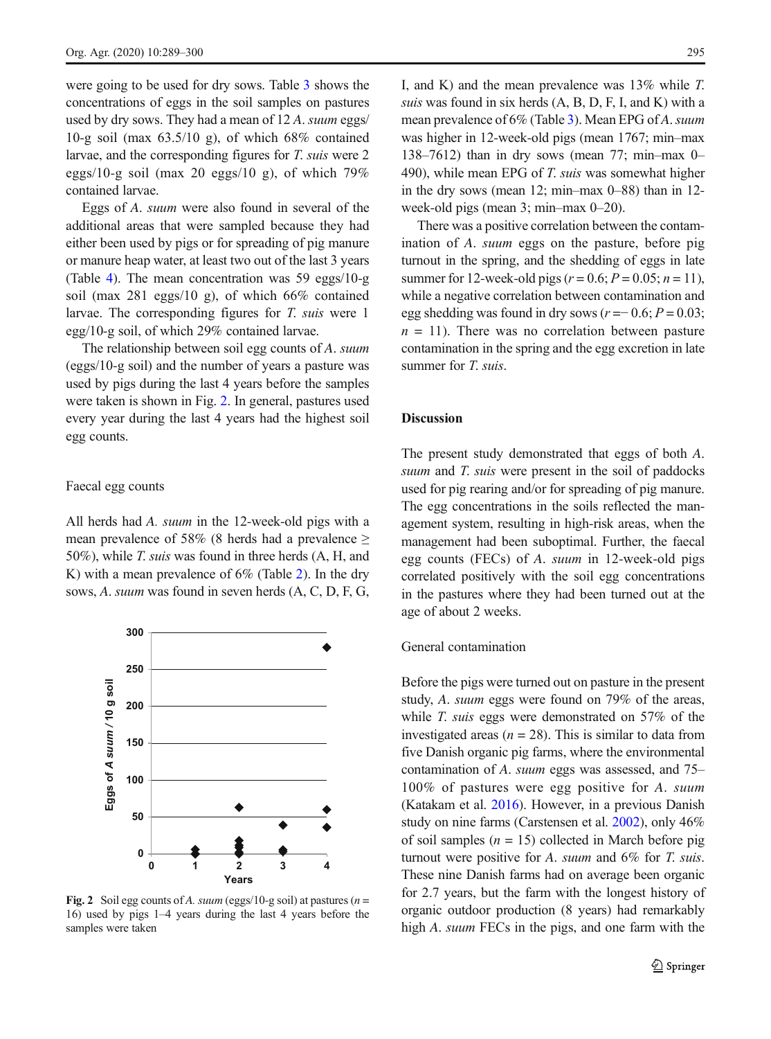<span id="page-6-0"></span>were going to be used for dry sows. Table [3](#page-5-0) shows the concentrations of eggs in the soil samples on pastures used by dry sows. They had a mean of 12 A. suum eggs/ 10-g soil (max  $63.5/10$  g), of which  $68\%$  contained larvae, and the corresponding figures for T. suis were 2 eggs/10-g soil (max 20 eggs/10 g), of which 79% contained larvae.

Eggs of A. suum were also found in several of the additional areas that were sampled because they had either been used by pigs or for spreading of pig manure or manure heap water, at least two out of the last 3 years (Table [4](#page-5-0)). The mean concentration was 59 eggs/10-g soil (max 281 eggs/10 g), of which 66% contained larvae. The corresponding figures for T. suis were 1 egg/10-g soil, of which 29% contained larvae.

The relationship between soil egg counts of A. suum (eggs/10-g soil) and the number of years a pasture was used by pigs during the last 4 years before the samples were taken is shown in Fig. 2. In general, pastures used every year during the last 4 years had the highest soil egg counts.

#### Faecal egg counts

All herds had A. *suum* in the 12-week-old pigs with a mean prevalence of 58% (8 herds had a prevalence  $\geq$ 50%), while T. suis was found in three herds (A, H, and K) with a mean prevalence of 6% (Table [2](#page-4-0)). In the dry sows, A. suum was found in seven herds (A, C, D, F, G,



Fig. 2 Soil egg counts of A. suum (eggs/10-g soil) at pastures ( $n =$ 16) used by pigs 1–4 years during the last 4 years before the samples were taken

I, and K) and the mean prevalence was 13% while T. suis was found in six herds (A, B, D, F, I, and K) with a mean prevalence of 6% (Table [3\)](#page-5-0). Mean EPG of A. suum was higher in 12-week-old pigs (mean 1767; min–max 138–7612) than in dry sows (mean 77; min–max 0– 490), while mean EPG of T. suis was somewhat higher in the dry sows (mean 12; min–max 0–88) than in 12 week-old pigs (mean 3; min–max 0–20).

There was a positive correlation between the contamination of A. suum eggs on the pasture, before pig turnout in the spring, and the shedding of eggs in late summer for 12-week-old pigs ( $r = 0.6$ ;  $P = 0.05$ ;  $n = 11$ ), while a negative correlation between contamination and egg shedding was found in dry sows ( $r = 0.6$ ;  $P = 0.03$ ;  $n = 11$ ). There was no correlation between pasture contamination in the spring and the egg excretion in late summer for *T. suis.* 

#### **Discussion**

The present study demonstrated that eggs of both A. suum and *T*. suis were present in the soil of paddocks used for pig rearing and/or for spreading of pig manure. The egg concentrations in the soils reflected the management system, resulting in high-risk areas, when the management had been suboptimal. Further, the faecal egg counts (FECs) of A. suum in 12-week-old pigs correlated positively with the soil egg concentrations in the pastures where they had been turned out at the age of about 2 weeks.

#### General contamination

Before the pigs were turned out on pasture in the present study, A. suum eggs were found on 79% of the areas, while *T. suis* eggs were demonstrated on 57% of the investigated areas ( $n = 28$ ). This is similar to data from five Danish organic pig farms, where the environmental contamination of A. suum eggs was assessed, and 75– 100% of pastures were egg positive for A. suum (Katakam et al. [2016](#page-10-0)). However, in a previous Danish study on nine farms (Carstensen et al. [2002](#page-10-0)), only 46% of soil samples  $(n = 15)$  collected in March before pig turnout were positive for A. suum and 6% for T. suis. These nine Danish farms had on average been organic for 2.7 years, but the farm with the longest history of organic outdoor production (8 years) had remarkably high A. *suum* FECs in the pigs, and one farm with the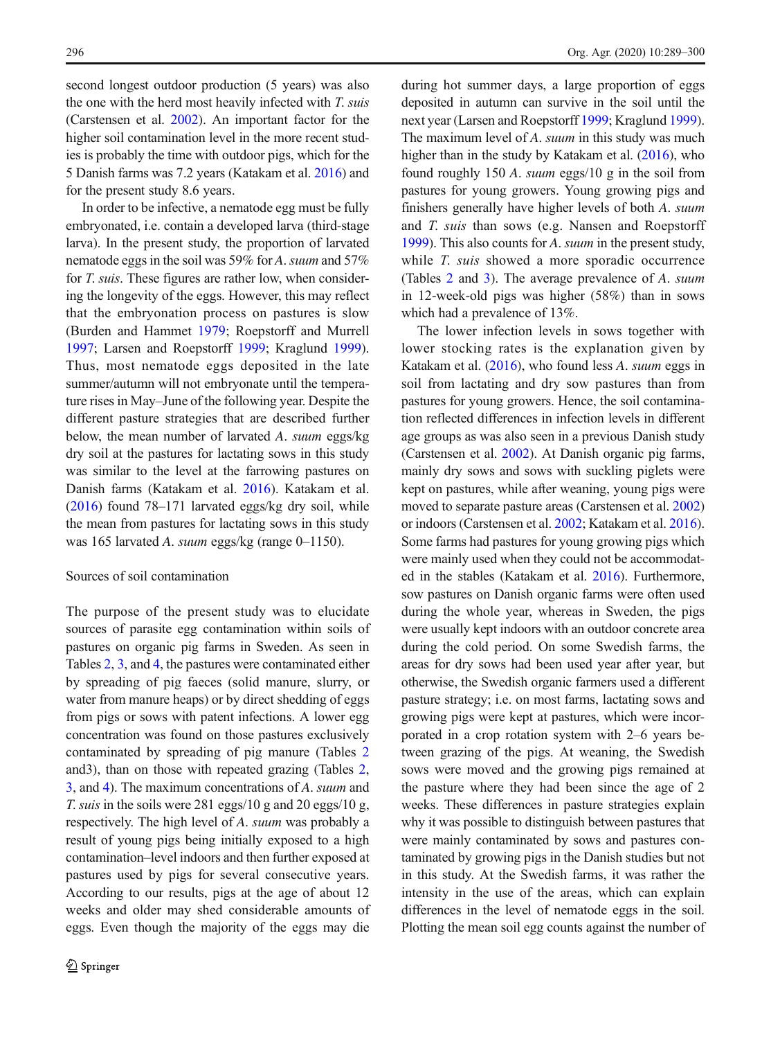second longest outdoor production (5 years) was also the one with the herd most heavily infected with T. suis (Carstensen et al. [2002\)](#page-10-0). An important factor for the higher soil contamination level in the more recent studies is probably the time with outdoor pigs, which for the 5 Danish farms was 7.2 years (Katakam et al. [2016\)](#page-10-0) and for the present study 8.6 years.

In order to be infective, a nematode egg must be fully embryonated, i.e. contain a developed larva (third-stage larva). In the present study, the proportion of larvated nematode eggs in the soil was 59% for A. suum and 57% for T. suis. These figures are rather low, when considering the longevity of the eggs. However, this may reflect that the embryonation process on pastures is slow (Burden and Hammet [1979](#page-10-0); Roepstorff and Murrell [1997;](#page-10-0) Larsen and Roepstorff [1999;](#page-10-0) Kraglund [1999\)](#page-10-0). Thus, most nematode eggs deposited in the late summer/autumn will not embryonate until the temperature rises in May–June of the following year. Despite the different pasture strategies that are described further below, the mean number of larvated A. suum eggs/kg dry soil at the pastures for lactating sows in this study was similar to the level at the farrowing pastures on Danish farms (Katakam et al. [2016](#page-10-0)). Katakam et al. ([2016](#page-10-0)) found 78–171 larvated eggs/kg dry soil, while the mean from pastures for lactating sows in this study was 165 larvated A. suum eggs/kg (range 0-1150).

# Sources of soil contamination

The purpose of the present study was to elucidate sources of parasite egg contamination within soils of pastures on organic pig farms in Sweden. As seen in Tables [2,](#page-4-0) [3](#page-5-0), and [4,](#page-5-0) the pastures were contaminated either by spreading of pig faeces (solid manure, slurry, or water from manure heaps) or by direct shedding of eggs from pigs or sows with patent infections. A lower egg concentration was found on those pastures exclusively contaminated by spreading of pig manure (Tables [2](#page-4-0) and3), than on those with repeated grazing (Tables [2,](#page-4-0) [3,](#page-5-0) and [4\)](#page-5-0). The maximum concentrations of A. suum and T. suis in the soils were 281 eggs/10 g and 20 eggs/10 g, respectively. The high level of A. suum was probably a result of young pigs being initially exposed to a high contamination–level indoors and then further exposed at pastures used by pigs for several consecutive years. According to our results, pigs at the age of about 12 weeks and older may shed considerable amounts of eggs. Even though the majority of the eggs may die

during hot summer days, a large proportion of eggs deposited in autumn can survive in the soil until the next year (Larsen and Roepstorff [1999;](#page-10-0) Kraglund [1999\)](#page-10-0). The maximum level of A. *suum* in this study was much higher than in the study by Katakam et al. [\(2016](#page-10-0)), who found roughly 150 A. suum eggs/10 g in the soil from pastures for young growers. Young growing pigs and finishers generally have higher levels of both A. suum and T. suis than sows (e.g. Nansen and Roepstorff [1999](#page-10-0)). This also counts for A. suum in the present study, while *T. suis* showed a more sporadic occurrence (Tables [2](#page-4-0) and [3](#page-5-0)). The average prevalence of A. suum in 12-week-old pigs was higher (58%) than in sows which had a prevalence of 13%.

The lower infection levels in sows together with lower stocking rates is the explanation given by Katakam et al. [\(2016](#page-10-0)), who found less A. suum eggs in soil from lactating and dry sow pastures than from pastures for young growers. Hence, the soil contamination reflected differences in infection levels in different age groups as was also seen in a previous Danish study (Carstensen et al. [2002\)](#page-10-0). At Danish organic pig farms, mainly dry sows and sows with suckling piglets were kept on pastures, while after weaning, young pigs were moved to separate pasture areas (Carstensen et al. [2002](#page-10-0)) or indoors (Carstensen et al. [2002](#page-10-0); Katakam et al. [2016\)](#page-10-0). Some farms had pastures for young growing pigs which were mainly used when they could not be accommodated in the stables (Katakam et al. [2016](#page-10-0)). Furthermore, sow pastures on Danish organic farms were often used during the whole year, whereas in Sweden, the pigs were usually kept indoors with an outdoor concrete area during the cold period. On some Swedish farms, the areas for dry sows had been used year after year, but otherwise, the Swedish organic farmers used a different pasture strategy; i.e. on most farms, lactating sows and growing pigs were kept at pastures, which were incorporated in a crop rotation system with 2–6 years between grazing of the pigs. At weaning, the Swedish sows were moved and the growing pigs remained at the pasture where they had been since the age of 2 weeks. These differences in pasture strategies explain why it was possible to distinguish between pastures that were mainly contaminated by sows and pastures contaminated by growing pigs in the Danish studies but not in this study. At the Swedish farms, it was rather the intensity in the use of the areas, which can explain differences in the level of nematode eggs in the soil. Plotting the mean soil egg counts against the number of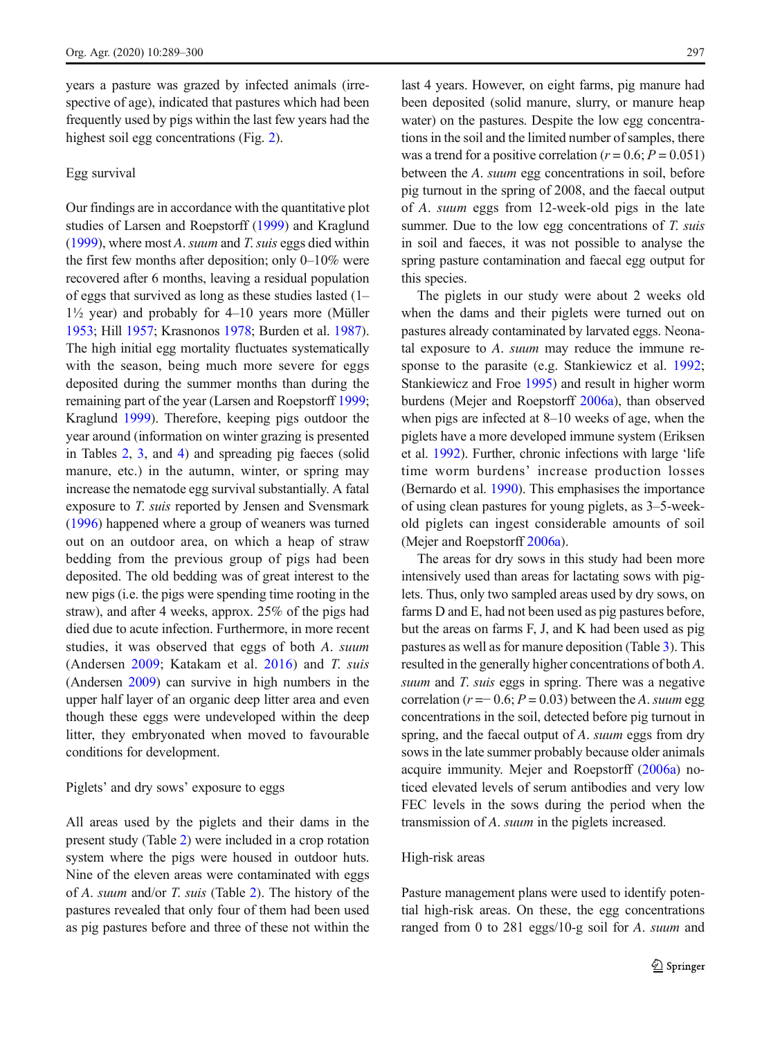years a pasture was grazed by infected animals (irrespective of age), indicated that pastures which had been frequently used by pigs within the last few years had the highest soil egg concentrations (Fig. [2\)](#page-6-0).

# Egg survival

Our findings are in accordance with the quantitative plot studies of Larsen and Roepstorff [\(1999\)](#page-10-0) and Kraglund ([1999](#page-10-0)), where most A. suum and T. suis eggs died within the first few months after deposition; only 0–10% were recovered after 6 months, leaving a residual population of eggs that survived as long as these studies lasted (1–  $1\frac{1}{2}$  year) and probably for  $4-10$  years more (Müller [1953](#page-10-0); Hill [1957](#page-10-0); Krasnonos [1978](#page-10-0); Burden et al. [1987\)](#page-10-0). The high initial egg mortality fluctuates systematically with the season, being much more severe for eggs deposited during the summer months than during the remaining part of the year (Larsen and Roepstorff [1999](#page-10-0); Kraglund [1999](#page-10-0)). Therefore, keeping pigs outdoor the year around (information on winter grazing is presented in Tables [2,](#page-4-0) [3](#page-5-0), and [4](#page-5-0)) and spreading pig faeces (solid manure, etc.) in the autumn, winter, or spring may increase the nematode egg survival substantially. A fatal exposure to T. suis reported by Jensen and Svensmark ([1996](#page-10-0)) happened where a group of weaners was turned out on an outdoor area, on which a heap of straw bedding from the previous group of pigs had been deposited. The old bedding was of great interest to the new pigs (i.e. the pigs were spending time rooting in the straw), and after 4 weeks, approx. 25% of the pigs had died due to acute infection. Furthermore, in more recent studies, it was observed that eggs of both A. suum (Andersen [2009;](#page-10-0) Katakam et al. [2016\)](#page-10-0) and T. suis (Andersen [2009\)](#page-10-0) can survive in high numbers in the upper half layer of an organic deep litter area and even though these eggs were undeveloped within the deep litter, they embryonated when moved to favourable conditions for development.

# Piglets' and dry sows' exposure to eggs

All areas used by the piglets and their dams in the present study (Table [2\)](#page-4-0) were included in a crop rotation system where the pigs were housed in outdoor huts. Nine of the eleven areas were contaminated with eggs of A. suum and/or T. suis (Table [2](#page-4-0)). The history of the pastures revealed that only four of them had been used as pig pastures before and three of these not within the last 4 years. However, on eight farms, pig manure had been deposited (solid manure, slurry, or manure heap water) on the pastures. Despite the low egg concentrations in the soil and the limited number of samples, there was a trend for a positive correlation ( $r = 0.6$ ;  $P = 0.051$ ) between the A. suum egg concentrations in soil, before pig turnout in the spring of 2008, and the faecal output of A. suum eggs from 12-week-old pigs in the late summer. Due to the low egg concentrations of T. suis in soil and faeces, it was not possible to analyse the spring pasture contamination and faecal egg output for this species.

The piglets in our study were about 2 weeks old when the dams and their piglets were turned out on pastures already contaminated by larvated eggs. Neonatal exposure to A. suum may reduce the immune response to the parasite (e.g. Stankiewicz et al. [1992;](#page-11-0) Stankiewicz and Froe [1995](#page-11-0)) and result in higher worm burdens (Mejer and Roepstorff [2006a\)](#page-10-0), than observed when pigs are infected at 8–10 weeks of age, when the piglets have a more developed immune system (Eriksen et al. [1992\)](#page-10-0). Further, chronic infections with large 'life time worm burdens' increase production losses (Bernardo et al. [1990\)](#page-10-0). This emphasises the importance of using clean pastures for young piglets, as 3–5-weekold piglets can ingest considerable amounts of soil (Mejer and Roepstorff [2006a](#page-10-0)).

The areas for dry sows in this study had been more intensively used than areas for lactating sows with piglets. Thus, only two sampled areas used by dry sows, on farms D and E, had not been used as pig pastures before, but the areas on farms F, J, and K had been used as pig pastures as well as for manure deposition (Table [3](#page-5-0)). This resulted in the generally higher concentrations of both A. suum and T. suis eggs in spring. There was a negative correlation ( $r = 0.6$ ;  $P = 0.03$ ) between the A. suum egg concentrations in the soil, detected before pig turnout in spring, and the faecal output of A. suum eggs from dry sows in the late summer probably because older animals acquire immunity. Mejer and Roepstorff ([2006a\)](#page-10-0) noticed elevated levels of serum antibodies and very low FEC levels in the sows during the period when the transmission of A. suum in the piglets increased.

# High-risk areas

Pasture management plans were used to identify potential high-risk areas. On these, the egg concentrations ranged from 0 to 281 eggs/10-g soil for A. suum and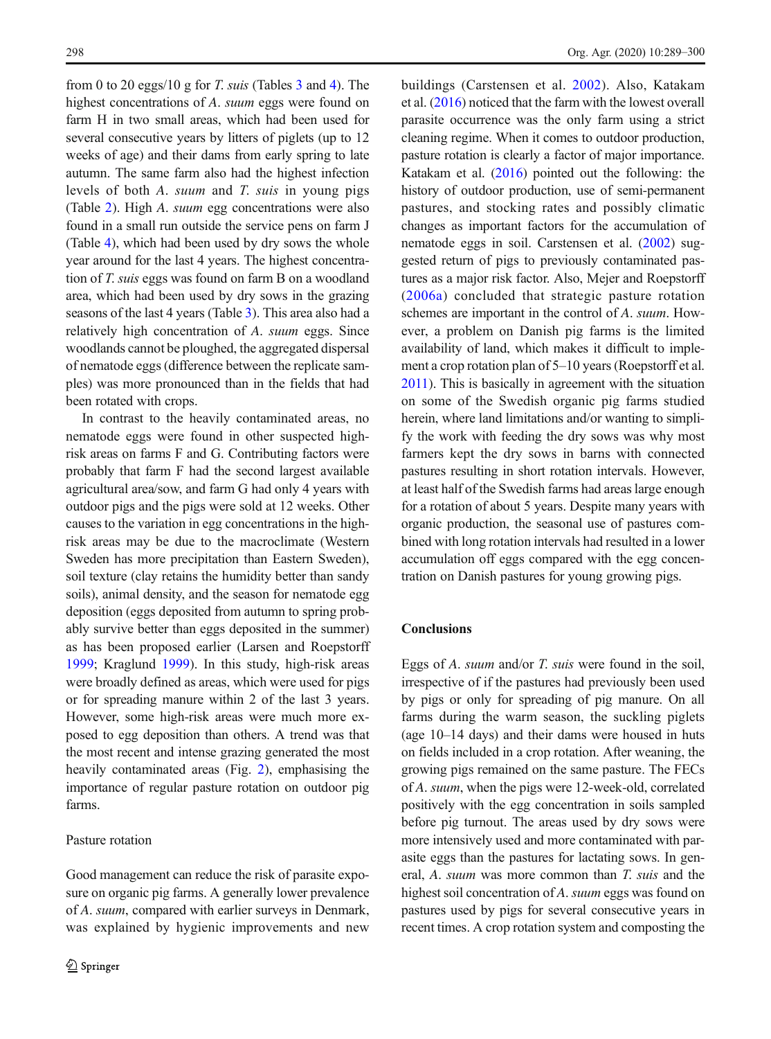from 0 to 20 eggs/10 g for T. suis (Tables  $3$  and  $4$ ). The highest concentrations of A. suum eggs were found on farm H in two small areas, which had been used for several consecutive years by litters of piglets (up to 12 weeks of age) and their dams from early spring to late autumn. The same farm also had the highest infection levels of both A. suum and T. suis in young pigs (Table [2\)](#page-4-0). High A. suum egg concentrations were also found in a small run outside the service pens on farm J (Table [4](#page-5-0)), which had been used by dry sows the whole year around for the last 4 years. The highest concentration of T. suis eggs was found on farm B on a woodland area, which had been used by dry sows in the grazing seasons of the last 4 years (Table [3\)](#page-5-0). This area also had a relatively high concentration of A. suum eggs. Since woodlands cannot be ploughed, the aggregated dispersal of nematode eggs (difference between the replicate samples) was more pronounced than in the fields that had been rotated with crops.

In contrast to the heavily contaminated areas, no nematode eggs were found in other suspected highrisk areas on farms F and G. Contributing factors were probably that farm F had the second largest available agricultural area/sow, and farm G had only 4 years with outdoor pigs and the pigs were sold at 12 weeks. Other causes to the variation in egg concentrations in the highrisk areas may be due to the macroclimate (Western Sweden has more precipitation than Eastern Sweden), soil texture (clay retains the humidity better than sandy soils), animal density, and the season for nematode egg deposition (eggs deposited from autumn to spring probably survive better than eggs deposited in the summer) as has been proposed earlier (Larsen and Roepstorff [1999;](#page-10-0) Kraglund [1999\)](#page-10-0). In this study, high-risk areas were broadly defined as areas, which were used for pigs or for spreading manure within 2 of the last 3 years. However, some high-risk areas were much more exposed to egg deposition than others. A trend was that the most recent and intense grazing generated the most heavily contaminated areas (Fig. [2\)](#page-6-0), emphasising the importance of regular pasture rotation on outdoor pig farms.

# Pasture rotation

Good management can reduce the risk of parasite exposure on organic pig farms. A generally lower prevalence of A. suum, compared with earlier surveys in Denmark, was explained by hygienic improvements and new buildings (Carstensen et al. [2002\)](#page-10-0). Also, Katakam et al. [\(2016\)](#page-10-0) noticed that the farm with the lowest overall parasite occurrence was the only farm using a strict cleaning regime. When it comes to outdoor production, pasture rotation is clearly a factor of major importance. Katakam et al. ([2016](#page-10-0)) pointed out the following: the history of outdoor production, use of semi-permanent pastures, and stocking rates and possibly climatic changes as important factors for the accumulation of nematode eggs in soil. Carstensen et al. [\(2002](#page-10-0)) suggested return of pigs to previously contaminated pastures as a major risk factor. Also, Mejer and Roepstorff [\(2006a](#page-10-0)) concluded that strategic pasture rotation schemes are important in the control of A. suum. However, a problem on Danish pig farms is the limited availability of land, which makes it difficult to implement a crop rotation plan of 5–10 years (Roepstorff et al. [2011](#page-11-0)). This is basically in agreement with the situation on some of the Swedish organic pig farms studied herein, where land limitations and/or wanting to simplify the work with feeding the dry sows was why most farmers kept the dry sows in barns with connected pastures resulting in short rotation intervals. However, at least half of the Swedish farms had areas large enough for a rotation of about 5 years. Despite many years with organic production, the seasonal use of pastures combined with long rotation intervals had resulted in a lower accumulation off eggs compared with the egg concentration on Danish pastures for young growing pigs.

## Conclusions

Eggs of A. suum and/or T. suis were found in the soil, irrespective of if the pastures had previously been used by pigs or only for spreading of pig manure. On all farms during the warm season, the suckling piglets (age 10–14 days) and their dams were housed in huts on fields included in a crop rotation. After weaning, the growing pigs remained on the same pasture. The FECs of A. suum, when the pigs were 12-week-old, correlated positively with the egg concentration in soils sampled before pig turnout. The areas used by dry sows were more intensively used and more contaminated with parasite eggs than the pastures for lactating sows. In general, A. suum was more common than T. suis and the highest soil concentration of A. suum eggs was found on pastures used by pigs for several consecutive years in recent times. A crop rotation system and composting the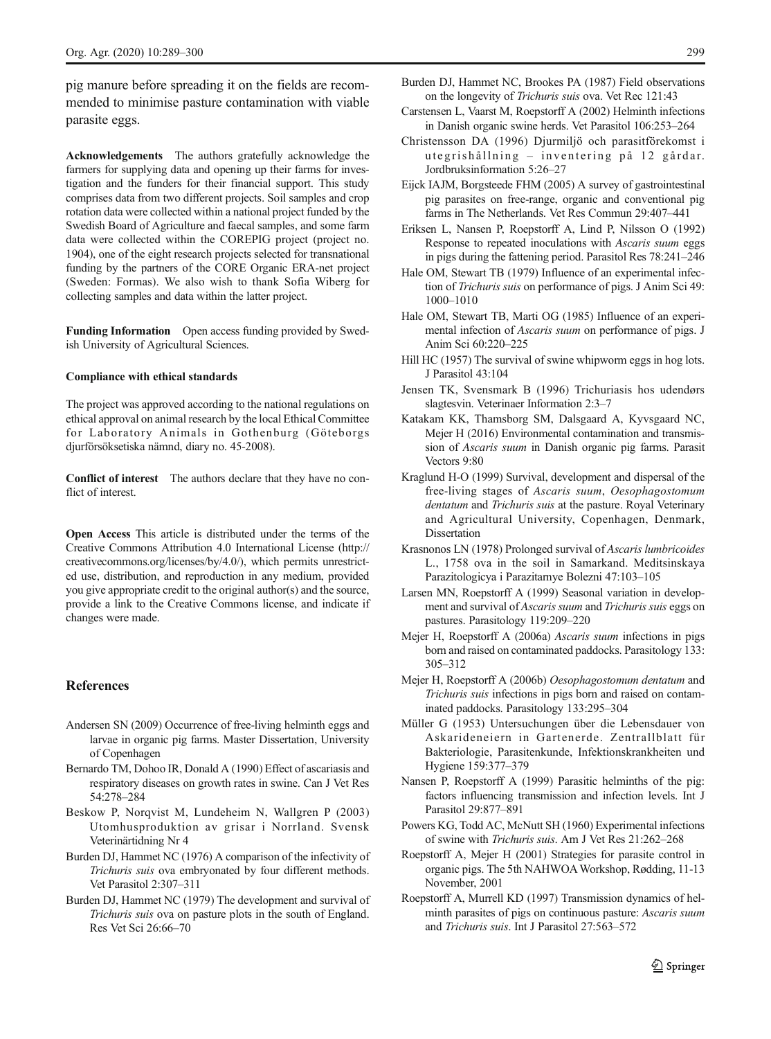<span id="page-10-0"></span>pig manure before spreading it on the fields are recommended to minimise pasture contamination with viable parasite eggs.

Acknowledgements The authors gratefully acknowledge the farmers for supplying data and opening up their farms for investigation and the funders for their financial support. This study comprises data from two different projects. Soil samples and crop rotation data were collected within a national project funded by the Swedish Board of Agriculture and faecal samples, and some farm data were collected within the COREPIG project (project no. 1904), one of the eight research projects selected for transnational funding by the partners of the CORE Organic ERA-net project (Sweden: Formas). We also wish to thank Sofia Wiberg for collecting samples and data within the latter project.

Funding Information Open access funding provided by Swedish University of Agricultural Sciences.

#### Compliance with ethical standards

The project was approved according to the national regulations on ethical approval on animal research by the local Ethical Committee for Laboratory Animals in Gothenburg (Göteborgs djurförsöksetiska nämnd, diary no. 45-2008).

Conflict of interest The authors declare that they have no conflict of interest.

Open Access This article is distributed under the terms of the Creative Commons Attribution 4.0 International License (http:// creativecommons.org/licenses/by/4.0/), which permits unrestricted use, distribution, and reproduction in any medium, provided you give appropriate credit to the original author(s) and the source, provide a link to the Creative Commons license, and indicate if changes were made.

# **References**

- Andersen SN (2009) Occurrence of free-living helminth eggs and larvae in organic pig farms. Master Dissertation, University of Copenhagen
- Bernardo TM, Dohoo IR, Donald A (1990) Effect of ascariasis and respiratory diseases on growth rates in swine. Can J Vet Res 54:278–284
- Beskow P, Norqvist M, Lundeheim N, Wallgren P (2003) Utomhusproduktion av grisar i Norrland. Svensk Veterinärtidning Nr 4
- Burden DJ, Hammet NC (1976) A comparison of the infectivity of Trichuris suis ova embryonated by four different methods. Vet Parasitol 2:307–311
- Burden DJ, Hammet NC (1979) The development and survival of Trichuris suis ova on pasture plots in the south of England. Res Vet Sci 26:66–70
- Burden DJ, Hammet NC, Brookes PA (1987) Field observations on the longevity of Trichuris suis ova. Vet Rec 121:43
- Carstensen L, Vaarst M, Roepstorff A (2002) Helminth infections in Danish organic swine herds. Vet Parasitol 106:253–264
- Christensson DA (1996) Djurmiljö och parasitförekomst i utegrishållning – inventering på 12 gårdar. Jordbruksinformation 5:26–27
- Eijck IAJM, Borgsteede FHM (2005) A survey of gastrointestinal pig parasites on free-range, organic and conventional pig farms in The Netherlands. Vet Res Commun 29:407–441
- Eriksen L, Nansen P, Roepstorff A, Lind P, Nilsson O (1992) Response to repeated inoculations with Ascaris suum eggs in pigs during the fattening period. Parasitol Res 78:241–246
- Hale OM, Stewart TB (1979) Influence of an experimental infection of Trichuris suis on performance of pigs. J Anim Sci 49: 1000–1010
- Hale OM, Stewart TB, Marti OG (1985) Influence of an experimental infection of Ascaris suum on performance of pigs. J Anim Sci 60:220–225
- Hill HC (1957) The survival of swine whipworm eggs in hog lots. J Parasitol 43:104
- Jensen TK, Svensmark B (1996) Trichuriasis hos udendørs slagtesvin. Veterinaer Information 2:3–7
- Katakam KK, Thamsborg SM, Dalsgaard A, Kyvsgaard NC, Mejer H (2016) Environmental contamination and transmission of Ascaris suum in Danish organic pig farms. Parasit Vectors 9:80
- Kraglund H-O (1999) Survival, development and dispersal of the free-living stages of Ascaris suum, Oesophagostomum dentatum and Trichuris suis at the pasture. Royal Veterinary and Agricultural University, Copenhagen, Denmark, Dissertation
- Krasnonos LN (1978) Prolonged survival of Ascaris lumbricoides L., 1758 ova in the soil in Samarkand. Meditsinskaya Parazitologicya i Parazitarnye Bolezni 47:103–105
- Larsen MN, Roepstorff A (1999) Seasonal variation in development and survival of Ascaris suum and Trichuris suis eggs on pastures. Parasitology 119:209–220
- Mejer H, Roepstorff A (2006a) Ascaris suum infections in pigs born and raised on contaminated paddocks. Parasitology 133: 305–312
- Mejer H, Roepstorff A (2006b) Oesophagostomum dentatum and Trichuris suis infections in pigs born and raised on contaminated paddocks. Parasitology 133:295–304
- Müller G (1953) Untersuchungen über die Lebensdauer von Askarideneiern in Gartenerde. Zentrallblatt für Bakteriologie, Parasitenkunde, Infektionskrankheiten und Hygiene 159:377–379
- Nansen P, Roepstorff A (1999) Parasitic helminths of the pig: factors influencing transmission and infection levels. Int J Parasitol 29:877–891
- Powers KG, Todd AC, McNutt SH (1960) Experimental infections of swine with Trichuris suis. Am J Vet Res 21:262–268
- Roepstorff A, Mejer H (2001) Strategies for parasite control in organic pigs. The 5th NAHWOAWorkshop, Rødding, 11-13 November, 2001
- Roepstorff A, Murrell KD (1997) Transmission dynamics of helminth parasites of pigs on continuous pasture: Ascaris suum and Trichuris suis. Int J Parasitol 27:563–572